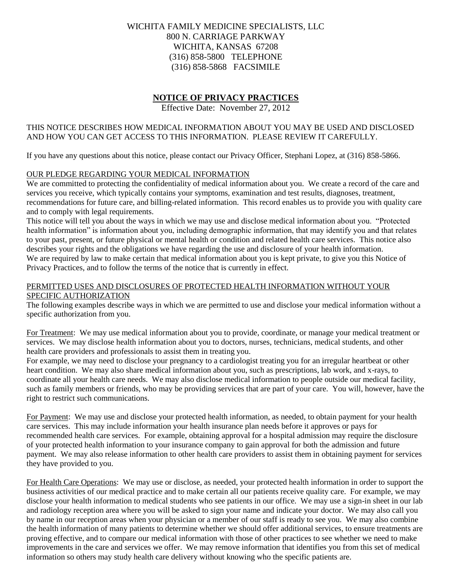# WICHITA FAMILY MEDICINE SPECIALISTS, LLC 800 N. CARRIAGE PARKWAY WICHITA, KANSAS 67208 (316) 858-5800 TELEPHONE (316) 858-5868 FACSIMILE

# **NOTICE OF PRIVACY PRACTICES**

Effective Date: November 27, 2012

### THIS NOTICE DESCRIBES HOW MEDICAL INFORMATION ABOUT YOU MAY BE USED AND DISCLOSED AND HOW YOU CAN GET ACCESS TO THIS INFORMATION. PLEASE REVIEW IT CAREFULLY.

If you have any questions about this notice, please contact our Privacy Officer, Stephani Lopez, at (316) 858-5866.

### OUR PLEDGE REGARDING YOUR MEDICAL INFORMATION

We are committed to protecting the confidentiality of medical information about you. We create a record of the care and services you receive, which typically contains your symptoms, examination and test results, diagnoses, treatment, recommendations for future care, and billing-related information. This record enables us to provide you with quality care and to comply with legal requirements.

This notice will tell you about the ways in which we may use and disclose medical information about you. "Protected health information" is information about you, including demographic information, that may identify you and that relates to your past, present, or future physical or mental health or condition and related health care services. This notice also describes your rights and the obligations we have regarding the use and disclosure of your health information. We are required by law to make certain that medical information about you is kept private, to give you this Notice of Privacy Practices, and to follow the terms of the notice that is currently in effect.

### PERMITTED USES AND DISCLOSURES OF PROTECTED HEALTH INFORMATION WITHOUT YOUR SPECIFIC AUTHORIZATION

The following examples describe ways in which we are permitted to use and disclose your medical information without a specific authorization from you.

For Treatment: We may use medical information about you to provide, coordinate, or manage your medical treatment or services. We may disclose health information about you to doctors, nurses, technicians, medical students, and other health care providers and professionals to assist them in treating you.

For example, we may need to disclose your pregnancy to a cardiologist treating you for an irregular heartbeat or other heart condition. We may also share medical information about you, such as prescriptions, lab work, and x-rays, to coordinate all your health care needs. We may also disclose medical information to people outside our medical facility, such as family members or friends, who may be providing services that are part of your care. You will, however, have the right to restrict such communications.

For Payment: We may use and disclose your protected health information, as needed, to obtain payment for your health care services. This may include information your health insurance plan needs before it approves or pays for recommended health care services. For example, obtaining approval for a hospital admission may require the disclosure of your protected health information to your insurance company to gain approval for both the admission and future payment. We may also release information to other health care providers to assist them in obtaining payment for services they have provided to you.

For Health Care Operations: We may use or disclose, as needed, your protected health information in order to support the business activities of our medical practice and to make certain all our patients receive quality care. For example, we may disclose your health information to medical students who see patients in our office. We may use a sign-in sheet in our lab and radiology reception area where you will be asked to sign your name and indicate your doctor. We may also call you by name in our reception areas when your physician or a member of our staff is ready to see you. We may also combine the health information of many patients to determine whether we should offer additional services, to ensure treatments are proving effective, and to compare our medical information with those of other practices to see whether we need to make improvements in the care and services we offer. We may remove information that identifies you from this set of medical information so others may study health care delivery without knowing who the specific patients are.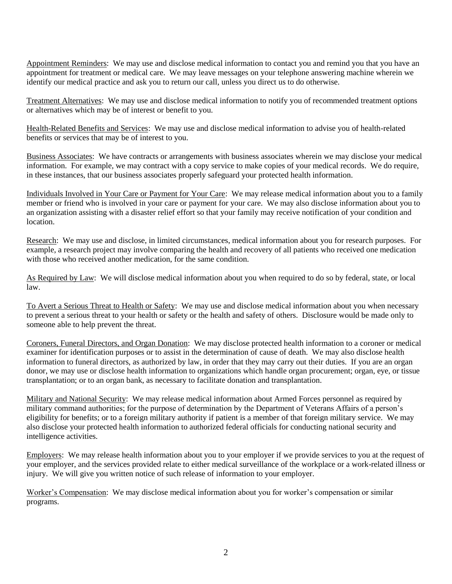Appointment Reminders: We may use and disclose medical information to contact you and remind you that you have an appointment for treatment or medical care. We may leave messages on your telephone answering machine wherein we identify our medical practice and ask you to return our call, unless you direct us to do otherwise.

Treatment Alternatives: We may use and disclose medical information to notify you of recommended treatment options or alternatives which may be of interest or benefit to you.

Health-Related Benefits and Services: We may use and disclose medical information to advise you of health-related benefits or services that may be of interest to you.

Business Associates: We have contracts or arrangements with business associates wherein we may disclose your medical information. For example, we may contract with a copy service to make copies of your medical records. We do require, in these instances, that our business associates properly safeguard your protected health information.

Individuals Involved in Your Care or Payment for Your Care: We may release medical information about you to a family member or friend who is involved in your care or payment for your care. We may also disclose information about you to an organization assisting with a disaster relief effort so that your family may receive notification of your condition and location.

Research: We may use and disclose, in limited circumstances, medical information about you for research purposes. For example, a research project may involve comparing the health and recovery of all patients who received one medication with those who received another medication, for the same condition.

As Required by Law: We will disclose medical information about you when required to do so by federal, state, or local law.

To Avert a Serious Threat to Health or Safety: We may use and disclose medical information about you when necessary to prevent a serious threat to your health or safety or the health and safety of others. Disclosure would be made only to someone able to help prevent the threat.

Coroners, Funeral Directors, and Organ Donation: We may disclose protected health information to a coroner or medical examiner for identification purposes or to assist in the determination of cause of death. We may also disclose health information to funeral directors, as authorized by law, in order that they may carry out their duties. If you are an organ donor, we may use or disclose health information to organizations which handle organ procurement; organ, eye, or tissue transplantation; or to an organ bank, as necessary to facilitate donation and transplantation.

Military and National Security: We may release medical information about Armed Forces personnel as required by military command authorities; for the purpose of determination by the Department of Veterans Affairs of a person's eligibility for benefits; or to a foreign military authority if patient is a member of that foreign military service. We may also disclose your protected health information to authorized federal officials for conducting national security and intelligence activities.

Employers: We may release health information about you to your employer if we provide services to you at the request of your employer, and the services provided relate to either medical surveillance of the workplace or a work-related illness or injury. We will give you written notice of such release of information to your employer.

Worker's Compensation: We may disclose medical information about you for worker's compensation or similar programs.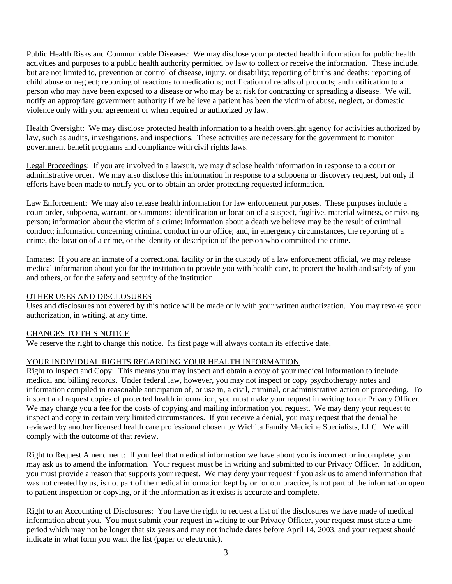Public Health Risks and Communicable Diseases: We may disclose your protected health information for public health activities and purposes to a public health authority permitted by law to collect or receive the information. These include, but are not limited to, prevention or control of disease, injury, or disability; reporting of births and deaths; reporting of child abuse or neglect; reporting of reactions to medications; notification of recalls of products; and notification to a person who may have been exposed to a disease or who may be at risk for contracting or spreading a disease. We will notify an appropriate government authority if we believe a patient has been the victim of abuse, neglect, or domestic violence only with your agreement or when required or authorized by law.

Health Oversight: We may disclose protected health information to a health oversight agency for activities authorized by law, such as audits, investigations, and inspections. These activities are necessary for the government to monitor government benefit programs and compliance with civil rights laws.

Legal Proceedings: If you are involved in a lawsuit, we may disclose health information in response to a court or administrative order. We may also disclose this information in response to a subpoena or discovery request, but only if efforts have been made to notify you or to obtain an order protecting requested information.

Law Enforcement: We may also release health information for law enforcement purposes. These purposes include a court order, subpoena, warrant, or summons; identification or location of a suspect, fugitive, material witness, or missing person; information about the victim of a crime; information about a death we believe may be the result of criminal conduct; information concerning criminal conduct in our office; and, in emergency circumstances, the reporting of a crime, the location of a crime, or the identity or description of the person who committed the crime.

Inmates: If you are an inmate of a correctional facility or in the custody of a law enforcement official, we may release medical information about you for the institution to provide you with health care, to protect the health and safety of you and others, or for the safety and security of the institution.

### OTHER USES AND DISCLOSURES

Uses and disclosures not covered by this notice will be made only with your written authorization. You may revoke your authorization, in writing, at any time.

#### CHANGES TO THIS NOTICE

We reserve the right to change this notice. Its first page will always contain its effective date.

## YOUR INDIVIDUAL RIGHTS REGARDING YOUR HEALTH INFORMATION

Right to Inspect and Copy: This means you may inspect and obtain a copy of your medical information to include medical and billing records. Under federal law, however, you may not inspect or copy psychotherapy notes and information compiled in reasonable anticipation of, or use in, a civil, criminal, or administrative action or proceeding. To inspect and request copies of protected health information, you must make your request in writing to our Privacy Officer. We may charge you a fee for the costs of copying and mailing information you request. We may deny your request to inspect and copy in certain very limited circumstances. If you receive a denial, you may request that the denial be reviewed by another licensed health care professional chosen by Wichita Family Medicine Specialists, LLC. We will comply with the outcome of that review.

Right to Request Amendment: If you feel that medical information we have about you is incorrect or incomplete, you may ask us to amend the information. Your request must be in writing and submitted to our Privacy Officer. In addition, you must provide a reason that supports your request. We may deny your request if you ask us to amend information that was not created by us, is not part of the medical information kept by or for our practice, is not part of the information open to patient inspection or copying, or if the information as it exists is accurate and complete.

Right to an Accounting of Disclosures: You have the right to request a list of the disclosures we have made of medical information about you. You must submit your request in writing to our Privacy Officer, your request must state a time period which may not be longer that six years and may not include dates before April 14, 2003, and your request should indicate in what form you want the list (paper or electronic).